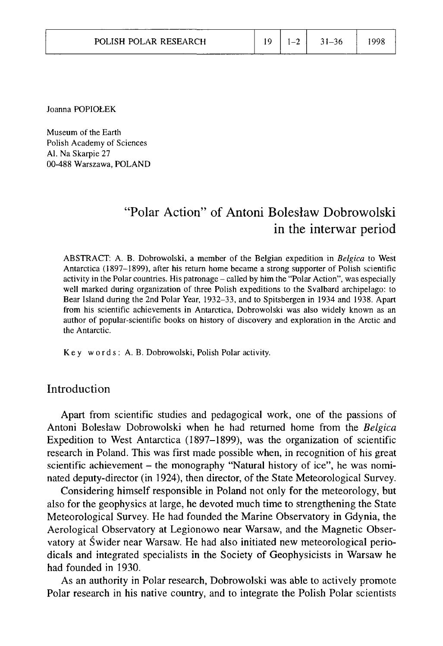| POLISH POLAR RESEARCH |  | $19 \mid 1 - 2 \mid$ | $-31-36$ | 998 |
|-----------------------|--|----------------------|----------|-----|
|-----------------------|--|----------------------|----------|-----|

Joanna POPIOŁEK

Museum of the Earth Polish Academy of Sciences Al. Na Skarpie 27 00-488 Warszawa, POLAND

# "Polar Action" of Antoni Bolesław Dobrowolski in the interwar period

ABSTRACT: A. B. Dobrowolski, a member of the Belgian expedition in *Belgica* to West Antarctica (1897-1899), after his return home became a strong supporter of Polish scientific activity in the Polar countries. His patronage – called by him the "Polar Action", was especially well marked during organization of three Polish expeditions to the Svalbard archipelago: to Bear Island during the 2nd Polar Year, 1932-33, and to Spitsbergen in 1934 and 1938. Apart from his scientific achievements in Antarctica, Dobrowolski was also widely known as an author of popular-scientific books on history of discovery and exploration in the Arctic and the Antarctic.

Key words: A. B. Dobrowolski, Polish Polar activity.

## Introduction

Apart from scientific studies and pedagogical work, one of the passions of Antoni Bolesław Dobrowolski when he had returned home from the *Belgica*  Expedition to West Antarctica (1897-1899), was the organization of scientific research in Poland. This was first made possible when, in recognition of his great scientific achievement – the monography "Natural history of ice", he was nominated deputy-director (in 1924), then director, of the State Meteorological Survey.

Considering himself responsible in Poland not only for the meteorology, but also for the geophysics at large, he devoted much time to strengthening the State Meteorological Survey. He had founded the Marine Observatory in Gdynia, the Aerological Observatory at Legionowo near Warsaw, and the Magnetic Observatory at Świder near Warsaw. He had also initiated new meteorological periodicals and integrated specialists in the Society of Geophysicists in Warsaw he had founded in 1930.

As an authority in Polar research, Dobrowolski was able to actively promote Polar research in his native country, and to integrate the Polish Polar scientists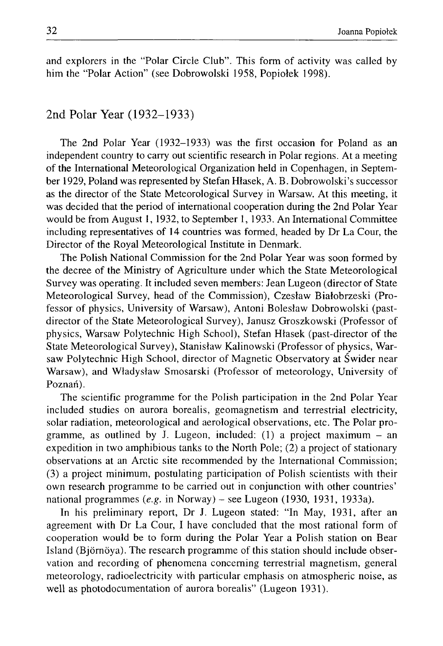and explorers in the "Polar Circle Club". This form of activity was called by him the "Polar Action" (see Dobrowolski 1958, Popiołek 1998).

# 2nd Polar Year (1932-1933)

The 2nd Polar Year (1932-1933) was the first occasion for Poland as an independent country to carry out scientific research in Polar regions. At a meeting of the International Meteorological Organization held in Copenhagen, in September 1929, Poland was represented by Stefan Hłasek, A. B. Dobrowolski's successor as the director of the State Meteorological Survey in Warsaw. At this meeting, it was decided that the period of international cooperation during the 2nd Polar Year would be from August 1, 1932, to September 1, 1933. An International Committee including representatives of 14 countries was formed, headed by Dr La Cour, the Director of the Royal Meteorological Institute in Denmark.

The Polish National Commission for the 2nd Polar Year was soon formed by the decree of the Ministry of Agriculture under which the State Meteorological Survey was operating. It included seven members: Jean Lugeon (director of State Meteorological Survey, head of the Commission), Czesław Białobrzeski (Professor of physics, University of Warsaw), Antoni Bolesław Dobrowolski (pastdirector of the State Meteorological Survey), Janusz Groszkowski (Professor of physics, Warsaw Polytechnic High School), Stefan Hłasek (past-director of the State Meteorological Survey), Stanisław Kalinowski (Professor of physics, Warsaw Polytechnic High School, director of Magnetic Observatory at Świder near Warsaw), and Władysław Smosarski (Professor of meteorology, University of Poznań).

The scientific programme for the Polish participation in the 2nd Polar Year included studies on aurora borealis, geomagnetism and terrestrial electricity, solar radiation, meteorological and aerological observations, etc. The Polar programme, as outlined by J. Lugeon, included:  $(1)$  a project maximum – an expedition in two amphibious tanks to the North Pole; (2) a project of stationary observations at an Arctic site recommended by the International Commission; (3) a project minimum, postulating participation of Polish scientists with their own research programme to be carried out in conjunction with other countries' national programmes (e.g. in Norway) - see Lugeon (1930, 1931, 1933a).

In his preliminary report, Dr J. Lugeon stated: "In May, 1931, after an agreement with Dr La Cour, I have concluded that the most rational form of cooperation would be to form during the Polar Year a Polish station on Bear Island (Björnöya). The research programme of this station should include observation and recording of phenomena concerning terrestrial magnetism, general meteorology, radioelectricity with particular emphasis on atmospheric noise, as well as photodocumentation of aurora borealis" (Lugeon 1931).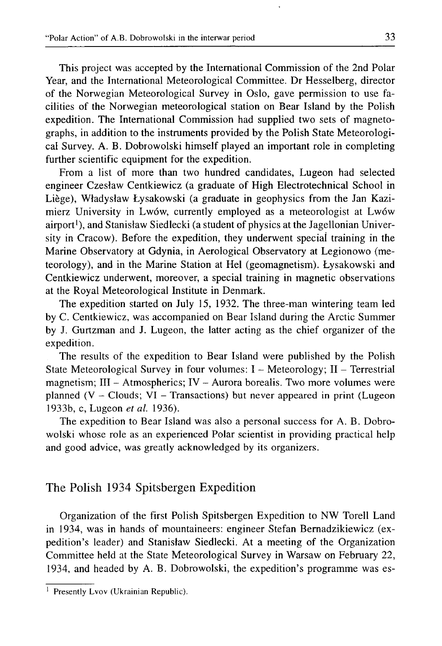This project was accepted by the International Commission of the 2nd Polar Year, and the International Meteorological Committee. Dr Hesselberg, director of the Norwegian Meteorological Survey in Oslo, gave permission to use facilities of the Norwegian meteorological station on Bear Island by the Polish expedition. The International Commission had supplied two sets of magnetographs, in addition to the instruments provided by the Polish State Meteorological Survey. A. B. Dobrowolski himself played an important role in completing further scientific equipment for the expedition.

From a list of more than two hundred candidates, Lugeon had selected engineer Czesław Centkiewicz (a graduate of High Electrotechnical School in Liege), Władysław Łysakowski (a graduate in geophysics from the Jan Kazimierz University in Lwów, currently employed as a meteorologist at Lwów airport'), and Stanisław Siedlecki (a student of physics at the Jagellonian University in Cracow). Before the expedition, they underwent special training in the Marine Observatory at Gdynia, in Aerological Observatory at Legionowo (meteorology), and in the Marine Station at Hel (geomagnetism). Łysakowski and Centkiewicz underwent, moreover, a special training in magnetic observations at the Royal Meteorological Institute in Denmark.

The expedition started on July 15, 1932. The three-man wintering team led by C. Centkiewicz, was accompanied on Bear Island during the Arctic Summer by J. Gurtzman and J. Lugeon, the latter acting as the chief organizer of the expedition.

The results of the expedition to Bear Island were published by the Polish State Meteorological Survey in four volumes: I - Meteorology; II - Terrestrial magnetism;  $III - Atmospheric; IV - Aurora borealis. Two more volumes were$ planned ( $V - Clouds$ ;  $VI - Transactions$ ) but never appeared in print (Lugeon 1933b, c, Lugeon *et al.* 1936).

The expedition to Bear Island was also a personal success for A. B. Dobrowolski whose role as an experienced Polar scientist in providing practical help and good advice, was greatly acknowledged by its organizers.

# The Polish 1934 Spitsbergen Expedition

Organization of the first Polish Spitsbergen Expedition to NW Torell Land in 1934, was in hands of mountaineers: engineer Stefan Bernadzikiewicz (expedition's leader) and Stanisław Siedlecki. At a meeting of the Organization Committee held at the State Meteorological Survey in Warsaw on February 22, 1934, and headed by A. B. Dobrowolski, the expedition's programme was es-

<sup>&</sup>lt;sup>1</sup> Presently Lvov (Ukrainian Republic).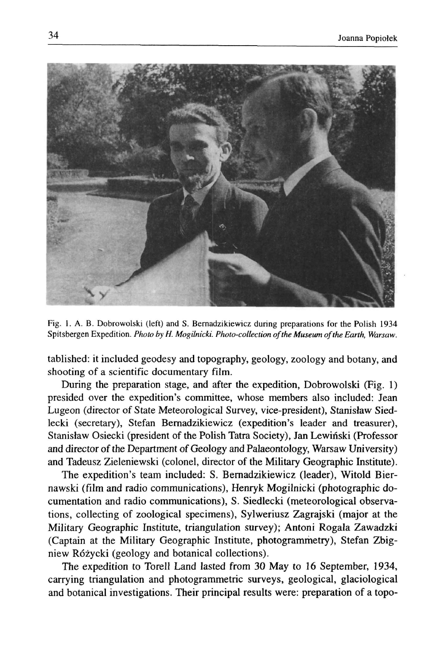

Fig. 1. A. B. Dobrowolski (left) and S. Bernadzikiewicz during preparations for the Polish 1934 Spitsbergen Expedition. *Photo by H. Mogilnicki. Photo-collection of the Museum of the Earth, Warsaw.* 

tablished: it included geodesy and topography, geology, zoology and botany, and shooting of a scientific documentary film.

During the preparation stage, and after the expedition, Dobrowolski (Fig. 1) presided over the expedition's committee, whose members also included: Jean Lugeon (director of State Meteorological Survey, vice-president), Stanisław Siedlecki (secretary), Stefan Bernadzikiewicz (expedition's leader and treasurer), Stanisław Osiecki (president of the Polish Tatra Society), Jan Lewiński (Professor and director of the Department of Geology and Palaeontology, Warsaw University) and Tadeusz Zieleniewski (colonel, director of the Military Geographic Institute).

The expedition's team included: S. Bernadzikiewicz (leader), Witold Biernawski (film and radio communications), Henryk Mogilnicki (photographic documentation and radio communications), S. Siedlecki (meteorological observations, collecting of zoological specimens), Sylweriusz Zagrajski (major at the Military Geographic Institute, triangulation survey); Antoni Rogala Zawadzki (Captain at the Military Geographic Institute, photogrammetry), Stefan Zbigniew Różycki (geology and botanical collections).

The expedition to Torell Land lasted from 30 May to 16 September, 1934, carrying triangulation and photogrammetric surveys, geological, glaciological and botanical investigations. Their principal results were: preparation of a topo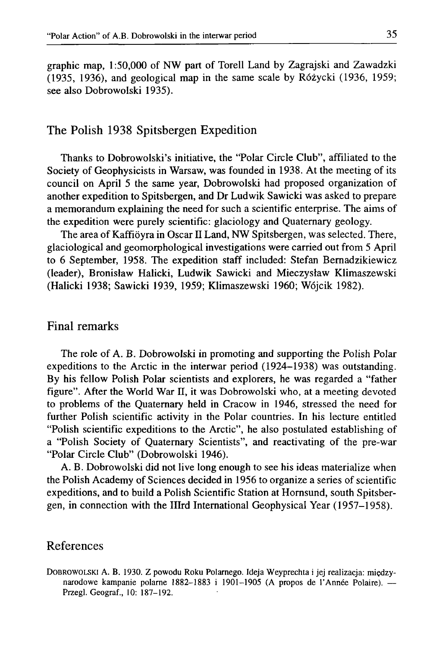graphic map, 1:50,000 of NW part of Torell Land by Zagrajski and Zawadzki (1935, 1936), and geological map in the same scale by Różycki (1936, 1959; see also Dobrowolski 1935).

#### The Polish 1938 Spitsbergen Expedition

Thanks to Dobrowolski's initiative, the "Polar Circle Club", affiliated to the Society of Geophysicists in Warsaw, was founded in 1938. At the meeting of its council on April 5 the same year, Dobrowolski had proposed organization of another expedition to Spitsbergen, and Dr Ludwik Sawicki was asked to prepare a memorandum explaining the need for such a scientific enterprise. The aims of the expedition were purely scientific: glaciology and Quaternary geology.

The area of Kaffioyra in Oscar II Land, NW Spitsbergen, was selected. There, glaciological and geomorphological investigations were carried out from 5 April to 6 September, 1958. The expedition staff included: Stefan Bernadzikiewicz (leader), Bronisław Halicki, Ludwik Sawicki and Mieczysław Klimaszewski (Halicki 1938; Sawicki 1939, 1959; Klimaszewski 1960; Wójcik 1982).

### Final remarks

The role of A. B. Dobrowolski in promoting and supporting the Polish Polar expeditions to the Arctic in the interwar period (1924-1938) was outstanding. By his fellow Polish Polar scientists and explorers, he was regarded a "father figure". After the World War II, it was Dobrowolski who, at a meeting devoted to problems of the Quaternary held in Cracow in 1946, stressed the need for further Polish scientific activity in the Polar countries. In his lecture entitled "Polish scientific expeditions to the Arctic", he also postulated establishing of a "Polish Society of Quaternary Scientists", and reactivating of the pre-war "Polar Circle Club" (Dobrowolski 1946).

A. B. Dobrowolski did not live long enough to see his ideas materialize when the Polish Academy of Sciences decided in 1956 to organize a series of scientific expeditions, and to build a Polish Scientific Station at Hornsund, south Spitsbergen, in connection with the Illrd International Geophysical Year (1957-1958).

# References

DOBROWOLSKI A. B. 1930. Z powodu Roku Polarnego. Ideja Weyprechta i jej realizacja: międzynarodowe kampanie polarne 1882-1883 i 1901-1905 (A propos de 1'Annee Polaire). — Przegl. Geograf., 10: 187-192.